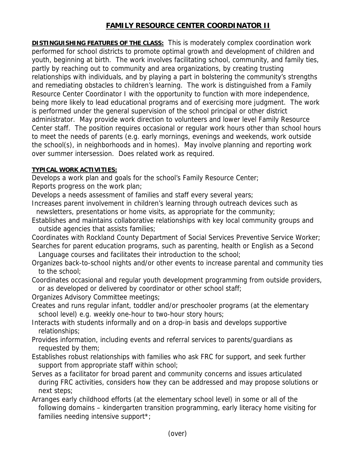## **FAMILY RESOURCE CENTER COORDINATOR II**

**DISTINGUISHING FEATURES OF THE CLASS:** This is moderately complex coordination work performed for school districts to promote optimal growth and development of children and youth, beginning at birth. The work involves facilitating school, community, and family ties, partly by reaching out to community and area organizations, by creating trusting relationships with individuals, and by playing a part in bolstering the community's strengths and remediating obstacles to children's learning. The work is distinguished from a Family Resource Center Coordinator I with the opportunity to function with more independence, being more likely to lead educational programs and of exercising more judgment. The work is performed under the general supervision of the school principal or other district administrator. May provide work direction to volunteers and lower level Family Resource Center staff. The position requires occasional or regular work hours other than school hours to meet the needs of parents (e.g. early mornings, evenings and weekends, work outside the school(s), in neighborhoods and in homes). May involve planning and reporting work over summer intersession. Does related work as required.

## **TYPICAL WORK ACTIVITIES:**

Develops a work plan and goals for the school's Family Resource Center;

Reports progress on the work plan;

Develops a needs assessment of families and staff every several years;

- Increases parent involvement in children's learning through outreach devices such as newsletters, presentations or home visits, as appropriate for the community;
- Establishes and maintains collaborative relationships with key local community groups and outside agencies that assists families;

Coordinates with Rockland County Department of Social Services Preventive Service Worker; Searches for parent education programs, such as parenting, health or English as a Second

- Language courses and facilitates their introduction to the school;
- Organizes back-to-school nights and/or other events to increase parental and community ties to the school;
- Coordinates occasional and regular youth development programming from outside providers, or as developed or delivered by coordinator or other school staff;
- Organizes Advisory Committee meetings;
- Creates and runs regular infant, toddler and/or preschooler programs (at the elementary school level) e.g. weekly one-hour to two-hour story hours;
- Interacts with students informally and on a drop-in basis and develops supportive relationships;
- Provides information, including events and referral services to parents/guardians as requested by them;
- Establishes robust relationships with families who ask FRC for support, and seek further support from appropriate staff within school;
- Serves as a facilitator for broad parent and community concerns and issues articulated during FRC activities, considers how they can be addressed and may propose solutions or next steps;
- Arranges early childhood efforts (at the elementary school level) in some or all of the following domains – kindergarten transition programming, early literacy home visiting for families needing intensive support\*;